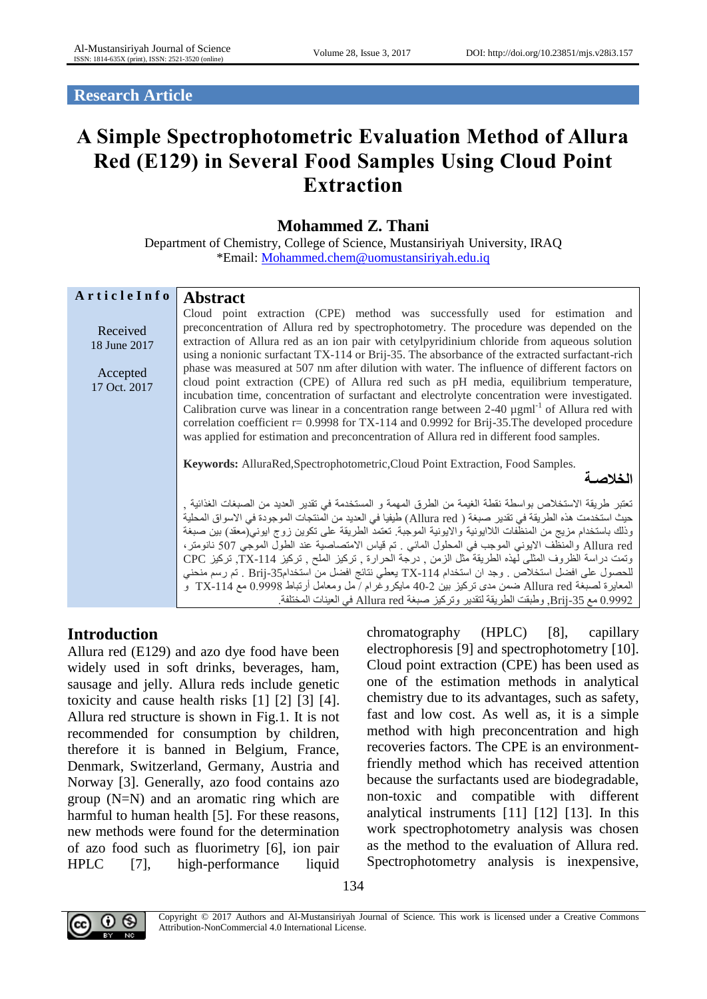**Research Article**

# **A Simple Spectrophotometric Evaluation Method of Allura Red (E129) in Several Food Samples Using Cloud Point Extraction**

## **Mohammed Z. Thani**

Department of Chemistry, College of Science, Mustansiriyah University, IRAQ \*Email: [Mohammed.chem@uomustansiriyah.edu.iq](mailto:Mohammed.chem@uomustansiriyah.edu.iq)

| ArticleInfo                                          | <b>Abstract</b>                                                                                                                                                                                                                                                                                                                                                                                                                                                                                                                                                                                                                                                                                                                                                                                                                                                                                                                                                                  |
|------------------------------------------------------|----------------------------------------------------------------------------------------------------------------------------------------------------------------------------------------------------------------------------------------------------------------------------------------------------------------------------------------------------------------------------------------------------------------------------------------------------------------------------------------------------------------------------------------------------------------------------------------------------------------------------------------------------------------------------------------------------------------------------------------------------------------------------------------------------------------------------------------------------------------------------------------------------------------------------------------------------------------------------------|
| Received<br>18 June 2017<br>Accepted<br>17 Oct. 2017 | Cloud point extraction (CPE) method was successfully used for estimation and<br>preconcentration of Allura red by spectrophotometry. The procedure was depended on the<br>extraction of Allura red as an ion pair with cetylpyridinium chloride from aqueous solution<br>using a nonionic surfactant TX-114 or Brij-35. The absorbance of the extracted surfactant-rich<br>phase was measured at 507 nm after dilution with water. The influence of different factors on<br>cloud point extraction (CPE) of Allura red such as pH media, equilibrium temperature,<br>incubation time, concentration of surfactant and electrolyte concentration were investigated.<br>Calibration curve was linear in a concentration range between $2-40 \mu g \text{m}^{-1}$ of Allura red with<br>correlation coefficient $r = 0.9998$ for TX-114 and 0.9992 for Brij-35. The developed procedure<br>was applied for estimation and preconcentration of Allura red in different food samples. |
|                                                      | <b>Keywords:</b> AlluraRed, Spectrophotometric, Cloud Point Extraction, Food Samples.<br>الخلاصد                                                                                                                                                                                                                                                                                                                                                                                                                                                                                                                                                                                                                                                                                                                                                                                                                                                                                 |
|                                                      | تعتبر طريقة الاستخلاص بواسطة نقطة الغيمة من الطرق المهمة و المستخدمة في تقدير العديد من الصبغات الغذائية <sub>،</sub><br>حيث استخدمت هذه الطريقة في تقدير صبغة ( Allura red) طيفيا في العديد من المنتجات الموجودة في الاسواق المحلية<br>وذلك باستخدام مزيج من المنظفات اللاايونية والايونية الموجبة. تعتمد الطريقة على تكوين زوج ايوني(معقد) بين صبغة<br>Allura red والمنظف الايوني الموجب في المحلول المائي . تم قياس الامتصاصية عند الطول الموجي 507 نانومتر ،<br>وتمت دراسة الظروف المثلي لهذه الطريقة مثل الزمن ¸ درجة الحرارة ¸ تركيز الملح ¸ تركيز 114-TX ٍ تركيز CPC<br>للحصول على افضل استخلاص . وجد ان استخدام 114-Xx يعطي نتائج افضل من استخدام35-Brij . تم رسم منحني<br>المعايرة لصبغة Allura red ضمن مدى تركيز بين 2-40 مايكروغرام / مل ومعامل أرتباط 0.9998 مع TX-114  و<br>0.9992 مع 35-Brij, وطبقت الطريقة لتقدير وتركيز صبغة Allura red في العينات المختلفة.                                                                                                     |

# **Introduction**

Allura red (E129) and azo dye food have been widely used in soft drinks, beverages, ham, sausage and jelly. Allura reds include genetic toxicity and cause health risks [1] [2] [3] [4]. Allura red structure is shown in Fig.1. It is not recommended for consumption by children, therefore it is banned in Belgium, France, Denmark, Switzerland, Germany, Austria and Norway [3]. Generally, azo food contains azo group (N=N) and an aromatic ring which are harmful to human health [5]. For these reasons, new methods were found for the determination of azo food such as fluorimetry [6], ion pair HPLC [7], high-performance liquid chromatography (HPLC) [8], capillary electrophoresis [9] and spectrophotometry [10]. Cloud point extraction (CPE) has been used as one of the estimation methods in analytical chemistry due to its advantages, such as safety, fast and low cost. As well as, it is a simple method with high preconcentration and high recoveries factors. The CPE is an environmentfriendly method which has received attention because the surfactants used are biodegradable, non-toxic and compatible with different analytical instruments [11] [12] [13]. In this work spectrophotometry analysis was chosen as the method to the evaluation of Allura red. Spectrophotometry analysis is inexpensive,



Copyright © 2017 Authors and Al-Mustansiriyah Journal of Science. This work is licensed under a Creative Commons Attribution-NonCommercial 4.0 International License.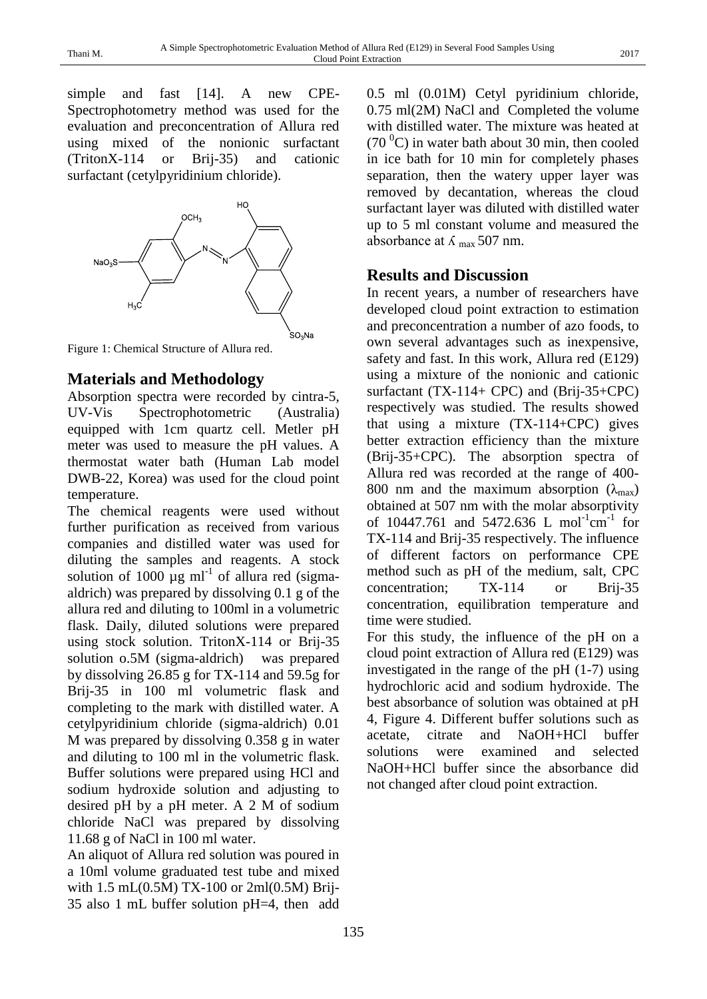simple and fast [14]. A new CPE-Spectrophotometry method was used for the evaluation and preconcentration of Allura red using mixed of the nonionic surfactant (TritonX-114 or Brij-35) and cationic surfactant (cetylpyridinium chloride).



Figure 1: Chemical Structure of Allura red.

# **Materials and Methodology**

Absorption spectra were recorded by cintra-5, UV-Vis Spectrophotometric (Australia) equipped with 1cm quartz cell. Metler pH meter was used to measure the pH values. A thermostat water bath (Human Lab model DWB-22, Korea) was used for the cloud point temperature.

The chemical reagents were used without further purification as received from various companies and distilled water was used for diluting the samples and reagents. A stock solution of 1000  $\mu$ g ml<sup>-1</sup> of allura red (sigmaaldrich) was prepared by dissolving 0.1 g of the allura red and diluting to 100ml in a volumetric flask. Daily, diluted solutions were prepared using stock solution. TritonX-114 or Brij-35 solution o.5M (sigma-aldrich) was prepared by dissolving 26.85 g for TX-114 and 59.5g for Brij-35 in 100 ml volumetric flask and completing to the mark with distilled water. A cetylpyridinium chloride (sigma-aldrich) 0.01 M was prepared by dissolving 0.358 g in water and diluting to 100 ml in the volumetric flask. Buffer solutions were prepared using HCl and sodium hydroxide solution and adjusting to desired pH by a pH meter. A 2 M of sodium chloride NaCl was prepared by dissolving 11.68 g of NaCl in 100 ml water.

An aliquot of Allura red solution was poured in a 10ml volume graduated test tube and mixed with 1.5 mL(0.5M) TX-100 or 2ml(0.5M) Brij-35 also 1 mL buffer solution pH=4, then add

0.5 ml (0.01M) Cetyl pyridinium chloride, 0.75 ml(2M) NaCl and Completed the volume with distilled water. The mixture was heated at  $(70<sup>0</sup>C)$  in water bath about 30 min, then cooled in ice bath for 10 min for completely phases separation, then the watery upper layer was removed by decantation, whereas the cloud surfactant layer was diluted with distilled water up to 5 ml constant volume and measured the absorbance at  $\lambda$  max 507 nm.

### **Results and Discussion**

In recent years, a number of researchers have developed cloud point extraction to estimation and preconcentration a number of azo foods, to own several advantages such as inexpensive, safety and fast. In this work, Allura red (E129) using a mixture of the nonionic and cationic surfactant (TX-114+ CPC) and (Brij-35+CPC) respectively was studied. The results showed that using a mixture (TX-114+CPC) gives better extraction efficiency than the mixture (Brij-35+CPC). The absorption spectra of Allura red was recorded at the range of 400- 800 nm and the maximum absorption  $(\lambda_{\text{max}})$ obtained at 507 nm with the molar absorptivity of 10447.761 and 5472.636 L mol<sup>-1</sup>cm<sup>-1</sup> for TX-114 and Brij-35 respectively. The influence of different factors on performance CPE method such as pH of the medium, salt, CPC concentration; TX-114 or Brij-35 concentration, equilibration temperature and time were studied.

For this study, the influence of the pH on a cloud point extraction of Allura red (E129) was investigated in the range of the pH (1-7) using hydrochloric acid and sodium hydroxide. The best absorbance of solution was obtained at pH 4, Figure 4. Different buffer solutions such as acetate, citrate and NaOH+HCl buffer solutions were examined and selected NaOH+HCl buffer since the absorbance did not changed after cloud point extraction.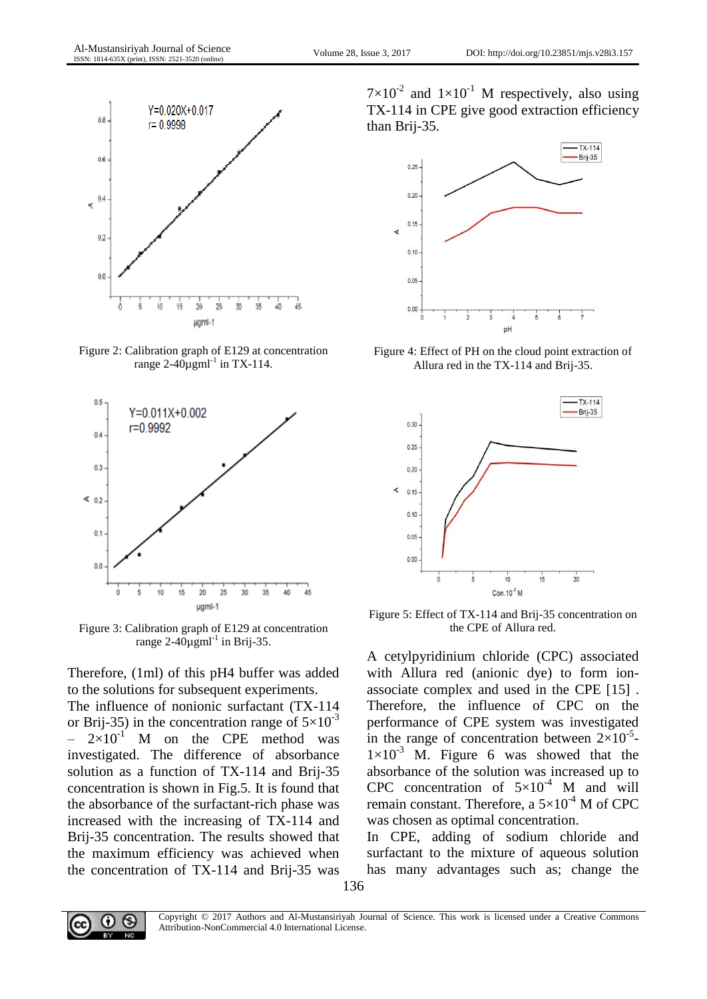

Figure 2: Calibration graph of E129 at concentration range 2-40 $\mu$ gml<sup>-1</sup> in TX-114.



Figure 3: Calibration graph of E129 at concentration range  $2-40\mu$ gml<sup>-1</sup> in Brij-35.

Therefore, (1ml) of this pH4 buffer was added to the solutions for subsequent experiments.

The influence of nonionic surfactant (TX-114 or Brij-35) in the concentration range of  $5\times10^{-3}$  $-2\times10^{-1}$  M on the CPE method was investigated. The difference of absorbance solution as a function of TX-114 and Brij-35 concentration is shown in Fig.5. It is found that the absorbance of the surfactant-rich phase was increased with the increasing of TX-114 and Brij-35 concentration. The results showed that the maximum efficiency was achieved when the concentration of TX-114 and Brij-35 was

 $7 \times 10^{-2}$  and  $1 \times 10^{-1}$  M respectively, also using TX-114 in CPE give good extraction efficiency than Brij-35.



Figure 4: Effect of PH on the cloud point extraction of Allura red in the TX-114 and Brij-35.



Figure 5: Effect of TX-114 and Brij-35 concentration on the CPE of Allura red.

A cetylpyridinium chloride (CPC) associated with Allura red (anionic dye) to form ionassociate complex and used in the CPE [15] . Therefore, the influence of CPC on the performance of CPE system was investigated in the range of concentration between  $2\times10^{-5}$ - $1\times10^{-3}$  M. Figure 6 was showed that the absorbance of the solution was increased up to CPC concentration of  $5\times10^{-4}$  M and will remain constant. Therefore, a  $5\times10^{-4}$  M of CPC was chosen as optimal concentration.

In CPE, adding of sodium chloride and surfactant to the mixture of aqueous solution has many advantages such as; change the

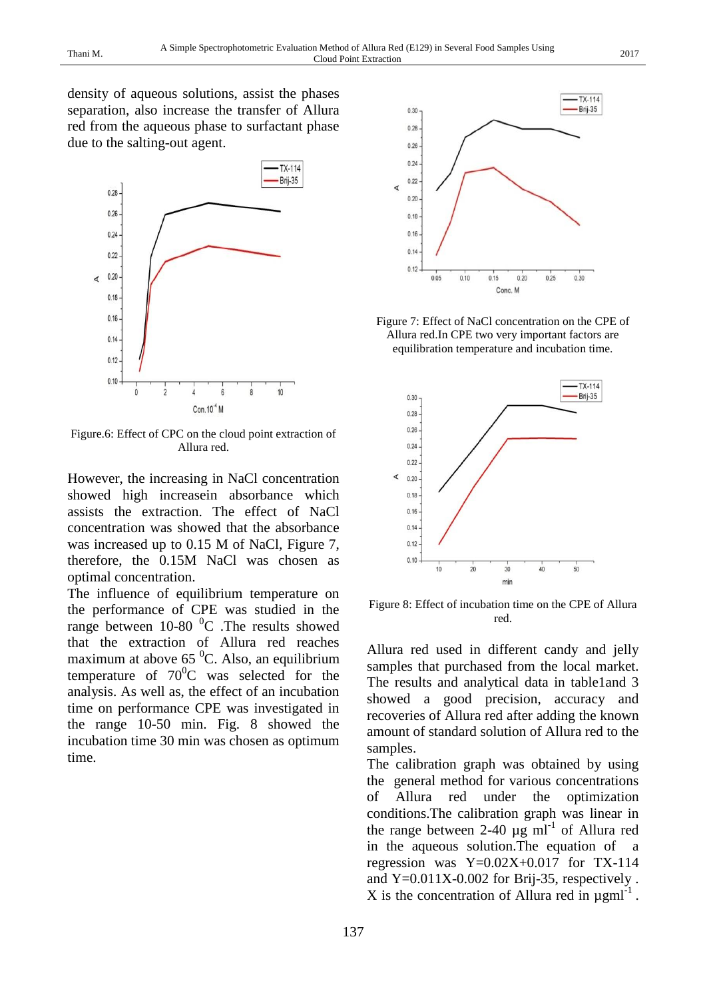density of aqueous solutions, assist the phases separation, also increase the transfer of Allura red from the aqueous phase to surfactant phase due to the salting-out agent.



Figure.6: Effect of CPC on the cloud point extraction of Allura red.

However, the increasing in NaCl concentration showed high increasein absorbance which assists the extraction. The effect of NaCl concentration was showed that the absorbance was increased up to 0.15 M of NaCl, Figure 7, therefore, the 0.15M NaCl was chosen as optimal concentration.

The influence of equilibrium temperature on the performance of CPE was studied in the range between  $10-80$   $^0$ C . The results showed that the extraction of Allura red reaches maximum at above  $65<sup>0</sup>C$ . Also, an equilibrium temperature of  $70^0C$  was selected for the analysis. As well as, the effect of an incubation time on performance CPE was investigated in the range 10-50 min. Fig. 8 showed the incubation time 30 min was chosen as optimum time.



Figure 7: Effect of NaCl concentration on the CPE of Allura red.In CPE two very important factors are equilibration temperature and incubation time.



Figure 8: Effect of incubation time on the CPE of Allura red.

Allura red used in different candy and jelly samples that purchased from the local market. The results and analytical data in table1and 3 showed a good precision, accuracy and recoveries of Allura red after adding the known amount of standard solution of Allura red to the samples.

The calibration graph was obtained by using the general method for various concentrations of Allura red under the optimization conditions.The calibration graph was linear in the range between 2-40  $\mu$ g ml<sup>-1</sup> of Allura red in the aqueous solution.The equation of a regression was  $Y=0.02X+0.017$  for TX-114 and  $Y=0.011X-0.002$  for Brij-35, respectively. X is the concentration of Allura red in  $\mu$ gml<sup>-1</sup>.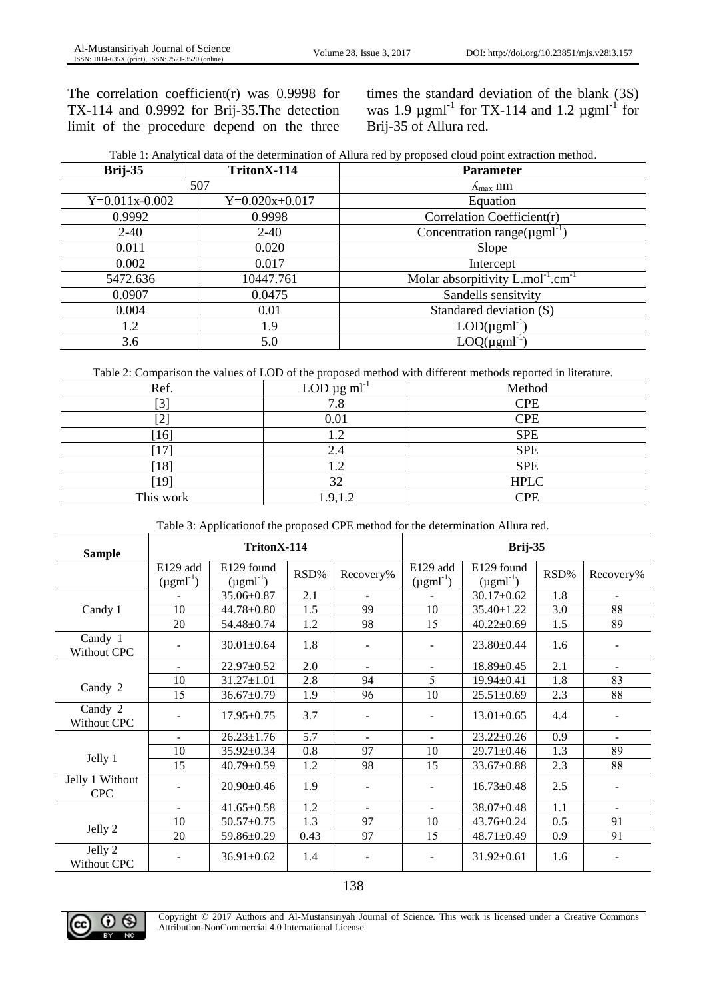The correlation coefficient(r) was  $0.9998$  for TX-114 and 0.9992 for Brij-35.The detection limit of the procedure depend on the three

times the standard deviation of the blank (3S) was 1.9  $\mu$ gml<sup>-1</sup> for TX-114 and 1.2  $\mu$ gml<sup>-1</sup> for Brij-35 of Allura red.

| Brij-35          | TritonX-114      | <b>Parameter</b>                                             |  |  |  |
|------------------|------------------|--------------------------------------------------------------|--|--|--|
|                  | 507              | $\Lambda_{\text{max}}$ nm                                    |  |  |  |
| $Y=0.011x-0.002$ | $Y=0.020x+0.017$ | Equation                                                     |  |  |  |
| 0.9992           | 0.9998           | Correlation Coefficient(r)                                   |  |  |  |
| $2-40$           | $2 - 40$         | Concentration range( $\mu$ gml <sup>-1</sup> )               |  |  |  |
| 0.011            | 0.020            | Slope                                                        |  |  |  |
| 0.002            | 0.017            | Intercept                                                    |  |  |  |
| 5472.636         | 10447.761        | Molar absorpitivity $L$ .mol <sup>-1</sup> .cm <sup>-1</sup> |  |  |  |
| 0.0907           | 0.0475           | Sandells sensitvity                                          |  |  |  |
| 0.004            | 0.01             | Standared deviation (S)                                      |  |  |  |
| 1.2              | 1.9              | $LOD(\mu gml^{-1})$                                          |  |  |  |
| 3.6              | 5.0              | $LOQ(\mu gml^{-1})$                                          |  |  |  |

Table 2: Comparison the values of LOD of the proposed method with different methods reported in literature.

| Ref.      | LOD $\mu$ g ml <sup>-1</sup> | Method      |
|-----------|------------------------------|-------------|
| гn-<br>◡  | 7.8                          | <b>CPE</b>  |
|           | 0.01                         | <b>CPE</b>  |
| 16        |                              | <b>SPE</b>  |
|           | 2.4                          | <b>SPE</b>  |
| [18]      |                              | <b>SPE</b>  |
| [19]      | 32                           | <b>HPLC</b> |
| This work | 1.9,1.2                      | <b>CPE</b>  |

Table 3: Applicationof the proposed CPE method for the determination Allura red.

| <b>Sample</b>                 | TritonX-114                         |                                       |      |                | Brij-35                             |                                       |      |                              |
|-------------------------------|-------------------------------------|---------------------------------------|------|----------------|-------------------------------------|---------------------------------------|------|------------------------------|
|                               | E129 add<br>$(\mu \text{gml}^{-1})$ | E129 found<br>$(\mu \text{gml}^{-1})$ | RSD% | Recovery%      | E129 add<br>$(\mu \text{gml}^{-1})$ | E129 found<br>$(\mu \text{gml}^{-1})$ | RSD% | Recovery%                    |
|                               |                                     | $35.06 \pm 0.87$                      | 2.1  |                |                                     | $30.17 \pm 0.62$                      | 1.8  | $\overline{\phantom{a}}$     |
| Candy 1                       | 10                                  | $44.78 \pm 0.80$                      | 1.5  | 99             | 10                                  | 35.40±1.22                            | 3.0  | 88                           |
|                               | 20                                  | 54.48±0.74                            | 1.2  | 98             | 15                                  | $40.22 \pm 0.69$                      | 1.5  | 89                           |
| Candy 1<br>Without CPC        |                                     | $30.01 \pm 0.64$                      | 1.8  |                |                                     | $23.80 \pm 0.44$                      | 1.6  | $\blacksquare$               |
|                               | $\sim$                              | $22.97 \pm 0.52$                      | 2.0  | $\sim$         | $\blacksquare$                      | $18.89 \pm 0.45$                      | 2.1  | $\blacksquare$               |
| Candy 2                       | 10                                  | $31.27 \pm 1.01$                      | 2.8  | 94             | 5                                   | $19.94 \pm 0.41$                      | 1.8  | 83                           |
|                               | 15                                  | $36.67 \pm 0.79$                      | 1.9  | 96             | 10                                  | $25.51 \pm 0.69$                      | 2.3  | 88                           |
| Candy 2<br>Without CPC        |                                     | $17.95 \pm 0.75$                      | 3.7  |                |                                     | $13.01 \pm 0.65$                      | 4.4  | $\qquad \qquad \blacksquare$ |
|                               | $\sim$                              | $26.23 \pm 1.76$                      | 5.7  | $\blacksquare$ | $\blacksquare$                      | $23.22 \pm 0.26$                      | 0.9  | $\blacksquare$               |
| Jelly 1                       | 10                                  | $35.92 \pm 0.34$                      | 0.8  | 97             | 10                                  | 29.71±0.46                            | 1.3  | 89                           |
|                               | 15                                  | $40.79 \pm 0.59$                      | 1.2  | 98             | 15                                  | $33.67 \pm 0.88$                      | 2.3  | 88                           |
| Jelly 1 Without<br><b>CPC</b> |                                     | $20.90 \pm 0.46$                      | 1.9  |                | $\overline{\phantom{a}}$            | $16.73 \pm 0.48$                      | 2.5  | $\blacksquare$               |
|                               | $\overline{\phantom{0}}$            | $41.65 \pm 0.58$                      | 1.2  | $\sim$         | $\sim$                              | 38.07±0.48                            | 1.1  | $\blacksquare$               |
| Jelly 2                       | 10                                  | $50.57 \pm 0.75$                      | 1.3  | 97             | 10                                  | $43.76 \pm 0.24$                      | 0.5  | 91                           |
|                               | 20                                  | 59.86±0.29                            | 0.43 | 97             | 15                                  | $48.71 \pm 0.49$                      | 0.9  | 91                           |
| Jelly 2<br>Without CPC        |                                     | $36.91 \pm 0.62$                      | 1.4  |                |                                     | $31.92 \pm 0.61$                      | 1.6  |                              |



Copyright © 2017 Authors and Al-Mustansiriyah Journal of Science. This work is licensed under a Creative Commons Attribution-NonCommercial 4.0 International License.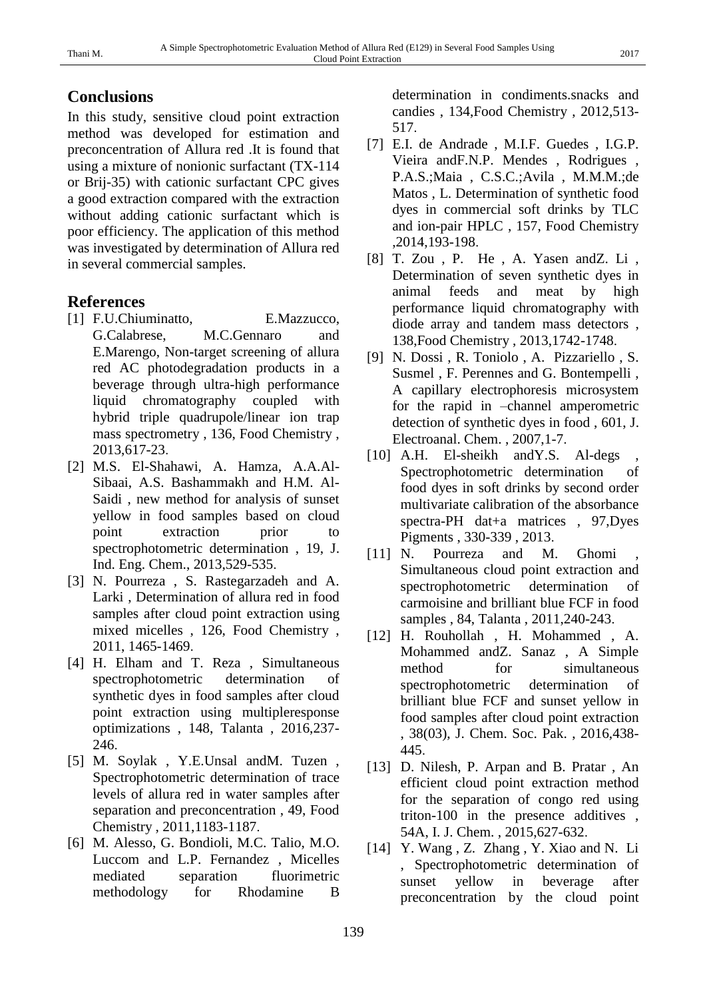#### **Conclusions**

In this study, sensitive cloud point extraction method was developed for estimation and preconcentration of Allura red .It is found that using a mixture of nonionic surfactant (TX-114 or Brij-35) with cationic surfactant CPC gives a good extraction compared with the extraction without adding cationic surfactant which is poor efficiency. The application of this method was investigated by determination of Allura red in several commercial samples.

#### **References**

- [1] F.U.Chiuminatto, E.Mazzucco, G.Calabrese, M.C.Gennaro and E.Marengo, Non-target screening of allura red AC photodegradation products in a beverage through ultra-high performance liquid chromatography coupled with hybrid triple quadrupole/linear ion trap mass spectrometry , 136, Food Chemistry , 2013,617-23.
- [2] M.S. El-Shahawi, A. Hamza, A.A.Al-Sibaai, A.S. Bashammakh and H.M. Al-Saidi , new method for analysis of sunset yellow in food samples based on cloud point extraction prior to spectrophotometric determination , 19, J. Ind. Eng. Chem., 2013,529-535.
- [3] N. Pourreza , S. Rastegarzadeh and A. Larki , Determination of allura red in food samples after cloud point extraction using mixed micelles , 126, Food Chemistry , 2011, 1465-1469.
- [4] H. Elham and T. Reza , Simultaneous spectrophotometric determination of synthetic dyes in food samples after cloud point extraction using multipleresponse optimizations , 148, Talanta , 2016,237- 246.
- [5] M. Soylak , Y.E.Unsal andM. Tuzen , Spectrophotometric determination of trace levels of allura red in water samples after separation and preconcentration , 49, Food Chemistry , 2011,1183-1187.
- [6] M. Alesso, G. Bondioli, M.C. Talio, M.O. Luccom and L.P. Fernandez , Micelles mediated separation fluorimetric methodology for Rhodamine B

determination in condiments.snacks and candies , 134,Food Chemistry , 2012,513- 517.

- [7] E.I. de Andrade , M.I.F. Guedes , I.G.P. Vieira andF.N.P. Mendes , Rodrigues , P.A.S.;Maia , C.S.C.;Avila , M.M.M.;de Matos , L. Determination of synthetic food dyes in commercial soft drinks by TLC and ion-pair HPLC , 157, Food Chemistry ,2014,193-198.
- [8] T. Zou , P. He , A. Yasen andZ. Li , Determination of seven synthetic dyes in animal feeds and meat by high performance liquid chromatography with diode array and tandem mass detectors , 138,Food Chemistry , 2013,1742-1748.
- [9] N. Dossi , R. Toniolo , A. Pizzariello , S. Susmel , F. Perennes and G. Bontempelli , A capillary electrophoresis microsystem for the rapid in –channel amperometric detection of synthetic dyes in food , 601, J. Electroanal. Chem. , 2007,1-7.
- [10] A.H. El-sheikh and Y.S. Al-degs Spectrophotometric determination of food dyes in soft drinks by second order multivariate calibration of the absorbance spectra-PH dat+a matrices , 97,Dyes Pigments , 330-339 , 2013.
- [11] N. Pourreza and M. Ghomi Simultaneous cloud point extraction and spectrophotometric determination of carmoisine and brilliant blue FCF in food samples , 84, Talanta , 2011,240-243.
- [12] H. Rouhollah , H. Mohammed , A. Mohammed andZ. Sanaz , A Simple method for simultaneous spectrophotometric determination of brilliant blue FCF and sunset yellow in food samples after cloud point extraction , 38(03), J. Chem. Soc. Pak. , 2016,438- 445.
- [13] D. Nilesh, P. Arpan and B. Pratar, An efficient cloud point extraction method for the separation of congo red using triton-100 in the presence additives , 54A, I. J. Chem. , 2015,627-632.
- [14] Y. Wang, Z. Zhang, Y. Xiao and N. Li , Spectrophotometric determination of sunset yellow in beverage after preconcentration by the cloud point